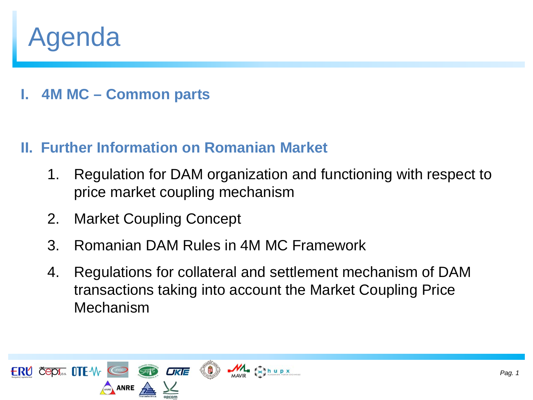# Agenda

**I. 4M MC – Common parts**

### **II. Further Information on Romanian Market**

- 1. Regulation for DAM organization and functioning with respect to price market coupling mechanism
- 2. Market Coupling Concept
- 3. Romanian DAM Rules in 4M MC Framework
- 4. Regulations for collateral and settlement mechanism of DAM transactions taking into account the Market Coupling Price Mechanism

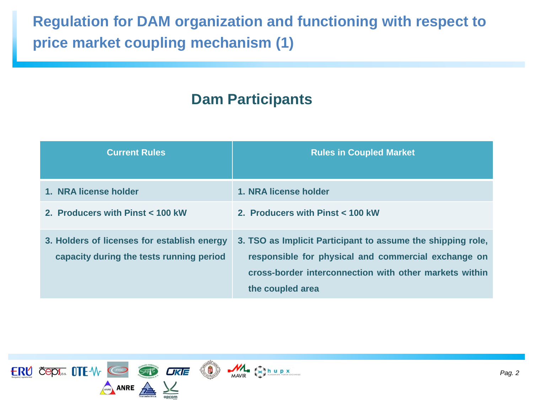## **Regulation for DAM organization and functioning with respect to price market coupling mechanism (1)**

### **Dam Participants**

| <b>Current Rules</b>                                                                    | <b>Rules in Coupled Market</b>                                                                                                                                                                   |
|-----------------------------------------------------------------------------------------|--------------------------------------------------------------------------------------------------------------------------------------------------------------------------------------------------|
| 1. NRA license holder                                                                   | 1. NRA license holder                                                                                                                                                                            |
| 2. Producers with Pinst < 100 kW                                                        | 2. Producers with Pinst < 100 kW                                                                                                                                                                 |
| 3. Holders of licenses for establish energy<br>capacity during the tests running period | 3. TSO as Implicit Participant to assume the shipping role,<br>responsible for physical and commercial exchange on<br>cross-border interconnection with other markets within<br>the coupled area |





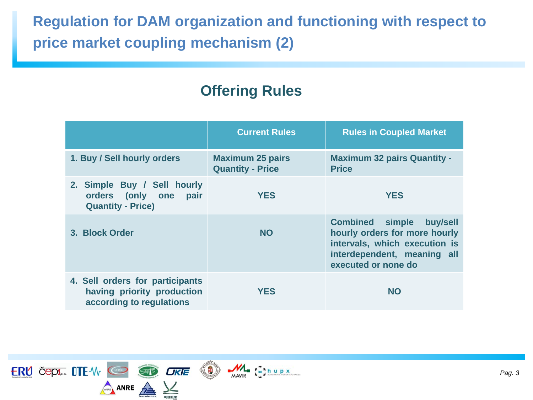### **Regulation for DAM organization and functioning with respect to price market coupling mechanism (2)**

### **Offering Rules**

|                                                                                           | <b>Current Rules</b>                               | <b>Rules in Coupled Market</b>                                                                                                                             |
|-------------------------------------------------------------------------------------------|----------------------------------------------------|------------------------------------------------------------------------------------------------------------------------------------------------------------|
| 1. Buy / Sell hourly orders                                                               | <b>Maximum 25 pairs</b><br><b>Quantity - Price</b> | <b>Maximum 32 pairs Quantity -</b><br><b>Price</b>                                                                                                         |
| 2. Simple Buy / Sell hourly<br>orders (only one<br>pair<br><b>Quantity - Price)</b>       | <b>YES</b>                                         | <b>YES</b>                                                                                                                                                 |
| 3. Block Order                                                                            | <b>NO</b>                                          | <b>Combined simple</b><br>buy/sell<br>hourly orders for more hourly<br>intervals, which execution is<br>interdependent, meaning all<br>executed or none do |
| 4. Sell orders for participants<br>having priority production<br>according to regulations | <b>YES</b>                                         | <b>NO</b>                                                                                                                                                  |

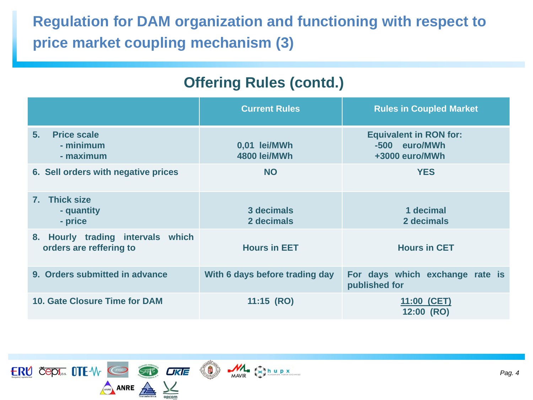## **Regulation for DAM organization and functioning with respect to price market coupling mechanism (3)**

### **Offering Rules (contd.)**

|                                                              | <b>Current Rules</b>           | <b>Rules in Coupled Market</b>                                   |
|--------------------------------------------------------------|--------------------------------|------------------------------------------------------------------|
| <b>Price scale</b><br>5.<br>- minimum<br>- maximum           | 0,01 lei/MWh<br>4800 lei/MWh   | <b>Equivalent in RON for:</b><br>-500 euro/MWh<br>+3000 euro/MWh |
| 6. Sell orders with negative prices                          | <b>NO</b>                      | <b>YES</b>                                                       |
| 7. Thick size<br>- quantity<br>- price                       | 3 decimals<br>2 decimals       | 1 decimal<br>2 decimals                                          |
| 8. Hourly trading intervals which<br>orders are reffering to | <b>Hours in EET</b>            | <b>Hours in CET</b>                                              |
| 9. Orders submitted in advance                               | With 6 days before trading day | For days which exchange rate is<br>published for                 |
| 10. Gate Closure Time for DAM                                | $11:15$ (RO)                   | 11:00 (CET)<br>12:00 (RO)                                        |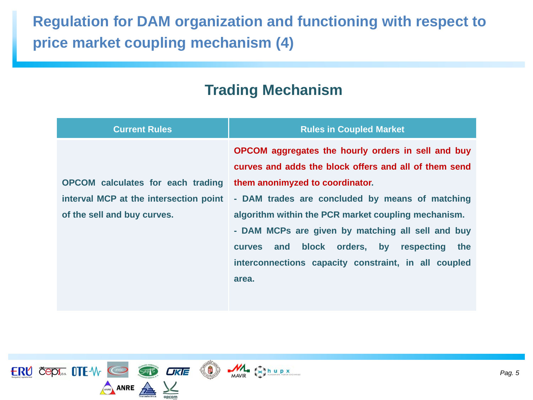### **Regulation for DAM organization and functioning with respect to price market coupling mechanism (4)**

### **Trading Mechanism**

| <b>Current Rules</b>                     | <b>Rules in Coupled Market</b>                                                                                                                                                                                                       |  |  |
|------------------------------------------|--------------------------------------------------------------------------------------------------------------------------------------------------------------------------------------------------------------------------------------|--|--|
|                                          | OPCOM aggregates the hourly orders in sell and buy<br>curves and adds the block offers and all of them send                                                                                                                          |  |  |
| <b>OPCOM</b> calculates for each trading | them anonimyzed to coordinator.                                                                                                                                                                                                      |  |  |
| interval MCP at the intersection point   | - DAM trades are concluded by means of matching                                                                                                                                                                                      |  |  |
| of the sell and buy curves.              | algorithm within the PCR market coupling mechanism.<br>- DAM MCPs are given by matching all sell and buy<br>and block orders, by respecting<br>the<br><b>CUIVES</b><br>interconnections capacity constraint, in all coupled<br>area. |  |  |



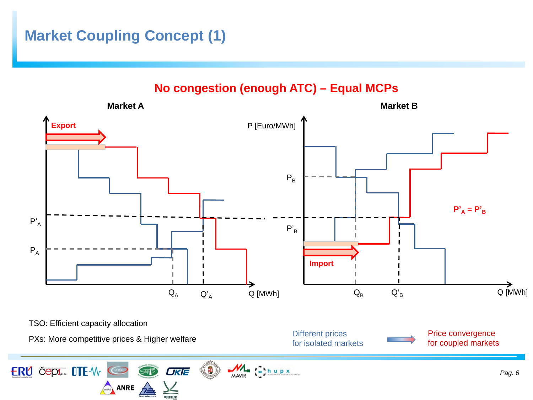### **Market Coupling Concept (1)**

**No congestion (enough ATC) – Equal MCPs** 

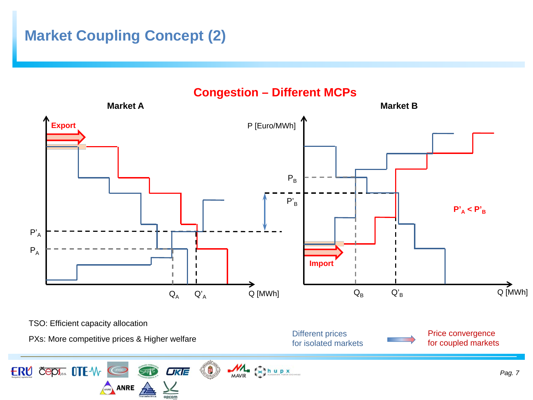### **Market Coupling Concept (2)**

ANRE A

又

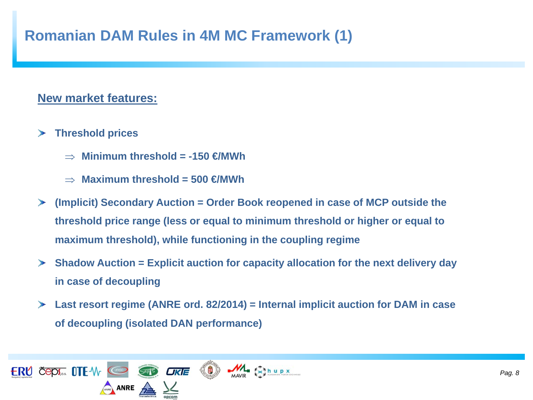### **Romanian DAM Rules in 4M MC Framework (1)**

#### **New market features:**

- **Threshold prices**   $\rightarrow$ 
	- ⇒ **Minimum threshold = -150 €/MWh**
	- ⇒ **Maximum threshold = 500 €/MWh**
- **(Implicit) Secondary Auction = Order Book reopened in case of MCP outside the threshold price range (less or equal to minimum threshold or higher or equal to maximum threshold), while functioning in the coupling regime**
- **Shadow Auction = Explicit auction for capacity allocation for the next delivery day in case of decoupling**
- **Last resort regime (ANRE ord. 82/2014) = Internal implicit auction for DAM in case of decoupling (isolated DAN performance)**

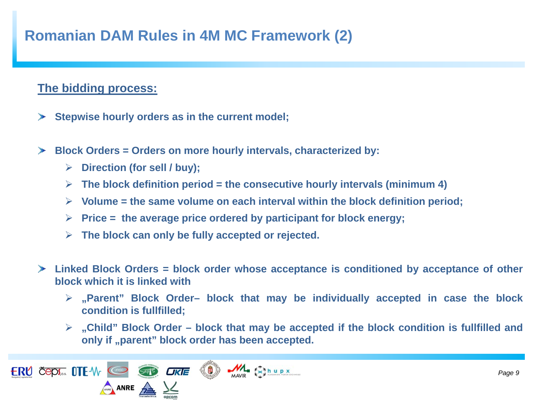### **Romanian DAM Rules in 4M MC Framework (2)**

#### **The bidding process:**

- **Stepwise hourly orders as in the current model;**  $\rightarrow$
- $\blacktriangleright$ **Block Orders = Orders on more hourly intervals, characterized by:**
	- **Direction (for sell / buy);**
	- $\triangleright$  The block definition period = the consecutive hourly intervals (minimum 4)
	- **Volume = the same volume on each interval within the block definition period;**
	- **Price = the average price ordered by participant for block energy;**
	- **The block can only be fully accepted or rejected.**
- **Linked Block Orders = block order whose acceptance is conditioned by acceptance of other block which it is linked with**
	- **"Parent" Block Order– block that may be individually accepted in case the block condition is fullfilled;**
	- **"Child" Block Order – block that may be accepted if the block condition is fullfilled and only if "parent" block order has been accepted.**

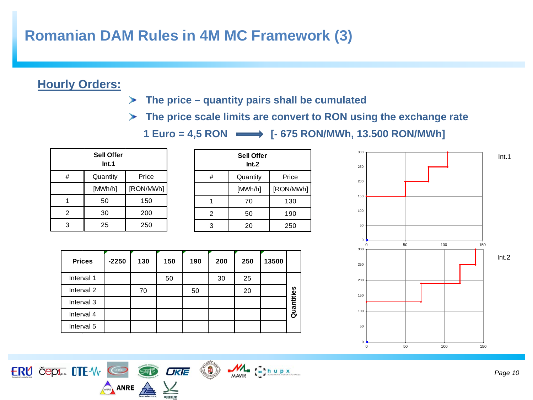### **Romanian DAM Rules in 4M MC Framework (3)**

#### **Hourly Orders:**

- **The price – quantity pairs shall be cumulated**  $\blacktriangleright$
- **The price scale limits are convert to RON using the exchange rate**

1 Euro = 4,5 RON  $\longrightarrow$  [- 675 RON/MWh, 13.500 RON/MWh]

| <b>Sell Offer</b><br>Int.1 |          |           |  |  |
|----------------------------|----------|-----------|--|--|
| #                          | Quantity | Price     |  |  |
|                            | [MWh/h]  | [RON/MWh] |  |  |
|                            | 50       | 150       |  |  |
| 2                          | 30       | 200       |  |  |
| 3                          | 25       | 250       |  |  |

| <b>Sell Offer</b><br>Int.2 |          |           |  |
|----------------------------|----------|-----------|--|
| #                          | Quantity | Price     |  |
|                            | [MWh/h]  | [RON/MWh] |  |
|                            | 70       | 130       |  |
| $\overline{2}$             | 50       | 190       |  |
| 3                          | 20       | 250       |  |

| <b>Prices</b> | $-2250$ | 130 | 150 | 190 | 200 | 250 | 13500 |            |
|---------------|---------|-----|-----|-----|-----|-----|-------|------------|
| Interval 1    |         |     | 50  |     | 30  | 25  |       |            |
| Interval 2    |         | 70  |     | 50  |     | 20  |       |            |
| Interval 3    |         |     |     |     |     |     |       | Quantities |
| Interval 4    |         |     |     |     |     |     |       |            |
| Interval 5    |         |     |     |     |     |     |       |            |

ERU ČEPS... OTE-W CO CO UKE (D) MA ESINUPX

ANRE A V

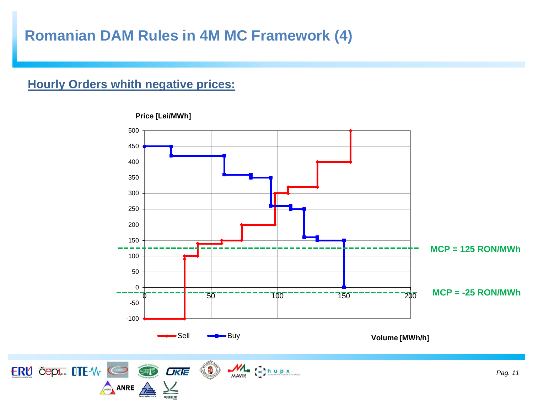### **Romanian DAM Rules in 4M MC Framework (4)**

#### **Hourly Orders whith negative prices:**

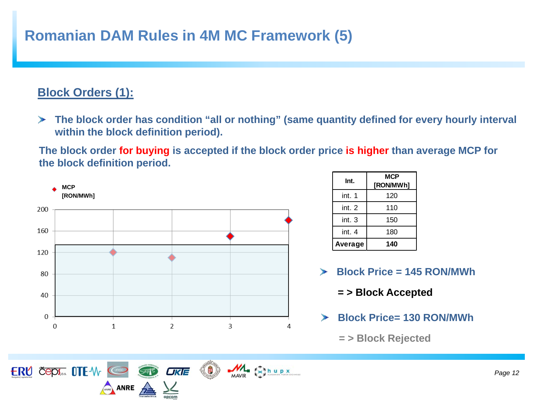### **Romanian DAM Rules in 4M MC Framework (5)**

### **Block Orders (1):**

ERU ČEPI... OTE-W

**The block order has condition "all or nothing" (same quantity defined for every hourly interval within the block definition period).**

**The block order for buying is accepted if the block order price is higher than average MCP for the block definition period.**



O

**OKIE** 

ANRE A

 $M = \sum_{\substack{x=1 \text{odd } } }$ 

| Int.    | MCP<br>[RON/MWh] |
|---------|------------------|
| int. 1  | 120              |
| int. 2  | 110              |
| int. 3  | 150              |
| int. 4  | 180              |
| Average | 140              |

- **Block Price = 145 RON/MWh**  $\mathcal{L}_{\mathcal{D}}$ 
	- **= > Block Accepted**
- **Block Price= 130 RON/MWh**  $\blacktriangleright$ 
	- **= > Block Rejected**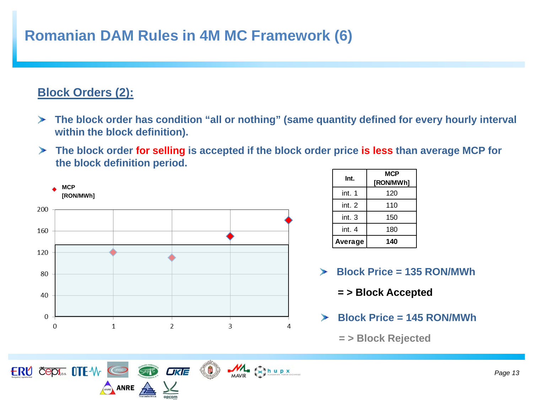### **Romanian DAM Rules in 4M MC Framework (6)**

### **Block Orders (2):**

ERU ČEPA OTE W @

ANRE A

- **The block order has condition "all or nothing" (same quantity defined for every hourly interval within the block definition).**
- **The block order for selling is accepted if the block order price is less than average MCP for the block definition period.**



0

**OKIE** 

 $M = \begin{bmatrix} 1 & 1 & 1 & 1 \\ 1 & 1 & 1 & 1 & 1 \\ 1 & 1 & 1 & 1 & 1 \\ 1 & 1 & 1 & 1 & 1 \end{bmatrix}$ 

| Int.    | MCP<br>[RON/MWh] |
|---------|------------------|
| int. 1  | 120              |
| int. 2  | 110              |
| int. 3  | 150              |
| int. 4  | 180              |
| Average | 140              |

- **Block Price = 135 RON/MWh**  $\mathcal{L}_{\mathcal{D}}$ 
	- **= > Block Accepted**
- **Block Price = 145 RON/MWh**  $\blacktriangleright$ 
	- **= > Block Rejected**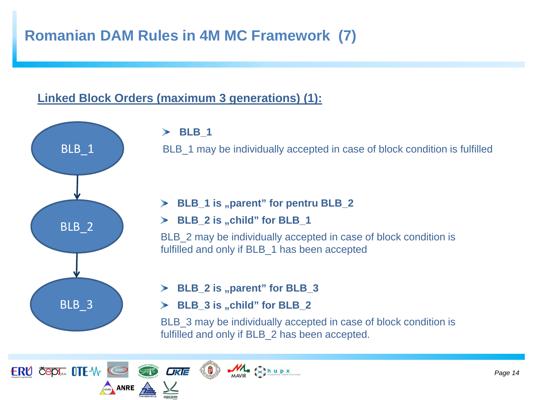### **Romanian DAM Rules in 4M MC Framework (7)**

#### **Linked Block Orders (maximum 3 generations) (1):**

**OKIE** 



ERU ČEPA OTE W @

 $Ans. A NRE 22$ 

**BLB\_1**

BLB 1 may be individually accepted in case of block condition is fulfilled

#### **BLB\_1 is "parent" for pentru BLB\_2**

**BLB\_2 is "child" for BLB\_1**

BLB\_2 may be individually accepted in case of block condition is fulfilled and only if BLB\_1 has been accepted

**BLB\_2 is "parent" for BLB\_3**

 $M = \frac{1}{k}$ 

**BLB\_3 is "child" for BLB\_2**

BLB\_3 may be individually accepted in case of block condition is fulfilled and only if BLB\_2 has been accepted.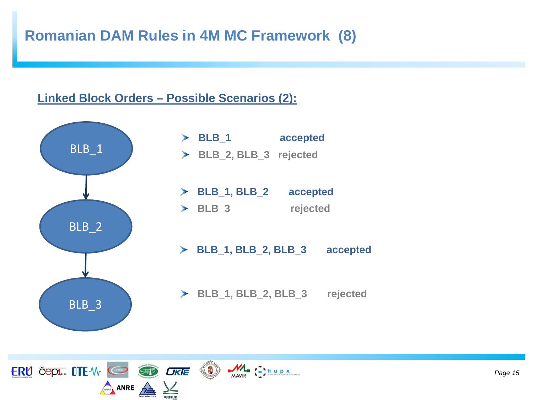### **Romanian DAM Rules in 4M MC Framework (8)**

#### **Linked Block Orders – Possible Scenarios (2):**



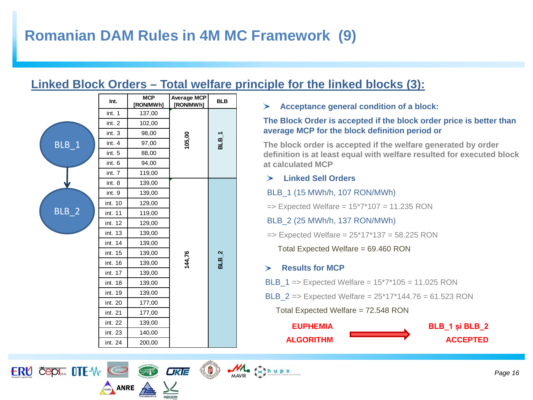#### **Linked Block Orders – Total welfare principle for the linked blocks (3):**

|         | Int.    | <b>MCP</b><br>[RON/MWh] | <b>Average MCP</b><br>[RON/MWh] | <b>BLB</b> |
|---------|---------|-------------------------|---------------------------------|------------|
|         | int. 1  | 137,00                  |                                 |            |
|         | int. 2  | 102,00                  |                                 |            |
|         | int. 3  | 98,00                   |                                 |            |
| $BLB_1$ | int. 4  | 97,00                   | 105,00                          | $BLB_1$    |
|         | int. 5  | 88,00                   |                                 |            |
|         | int. 6  | 94,00                   |                                 |            |
|         | int. 7  | 119,00                  |                                 |            |
|         | int. 8  | 139,00                  |                                 |            |
|         | int. 9  | 139,00                  |                                 |            |
|         | int. 10 | 129,00                  |                                 |            |
| $BLB_2$ | int. 11 | 119,00                  |                                 |            |
|         | int. 12 | 129,00                  |                                 |            |
|         | int. 13 | 139,00                  |                                 |            |
|         | int. 14 | 139,00                  |                                 |            |
|         | int. 15 | 139,00                  |                                 |            |
|         | int. 16 | 139,00                  | 144,76                          | $BLB_2$    |
|         | int. 17 | 139,00                  |                                 |            |
|         | int. 18 | 139,00                  |                                 |            |
|         | int. 19 | 139,00                  |                                 |            |
|         | int. 20 | 177,00                  |                                 |            |
|         | int. 21 | 177,00                  |                                 |            |
|         | int. 22 | 139,00                  |                                 |            |
|         | int. 23 | 140,00                  |                                 |            |
|         | int. 24 | 200,00                  |                                 |            |

 $Ans. A NRE 22$ 

**OKIE** 

ERU ČEPI... OTE-W COD STR

**Acceptance general condition of a block:**

#### **The Block Order is accepted if the block order price is better than average MCP for the block definition period or**

**The block order is accepted if the welfare generated by order definition is at least equal with welfare resulted for executed block at calculated MCP**

#### **Linked Sell Orders**

BLB\_1 (15 MWh/h, 107 RON/MWh)

 $\Rightarrow$  Expected Welfare =  $15*7*107 = 11.235$  RON

BLB\_2 (25 MWh/h, 137 RON/MWh)

 $\Rightarrow$  Expected Welfare = 25\*17\*137 = 58.225 RON

Total Expected Welfare = 69.460 RON

#### $\blacktriangleright$ **Results for MCP**

 $M = \frac{f^2}{f}$ hupx

- **BLB**  $1 =$   $\ge$  Expected Welfare =  $15*7*105 = 11.025$  RON
- **BLB**  $2 \Rightarrow$  Expected Welfare =  $25*17*144.76 = 61.523$  RON

Total Expected Welfare = 72.548 RON

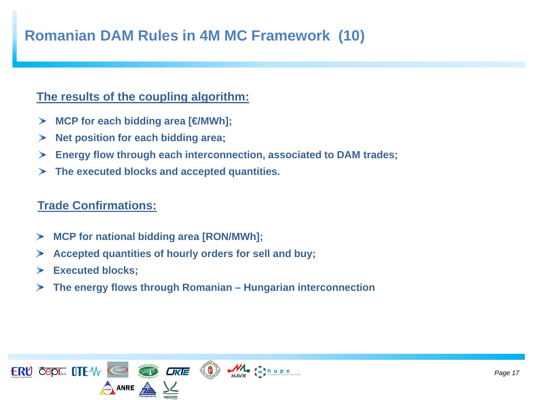### **Romanian DAM Rules in 4M MC Framework (10)**

#### **The results of the coupling algorithm:**

- **MCP for each bidding area [€/MWh];**  $\geq$
- **Net position for each bidding area;**  $\rightarrow$
- **Energy flow through each interconnection, associated to DAM trades;**  $\rightarrow$
- **The executed blocks and accepted quantities.** $\blacktriangleright$

#### **Trade Confirmations:**

- **MCP for national bidding area [RON/MWh];**  $\mathcal{P}$
- **Accepted quantities of hourly orders for sell and buy;**  $\rightarrow$
- **Executed blocks;**   $\rightarrow$
- **The energy flows through Romanian – Hungarian interconnection**  $\rightarrow$

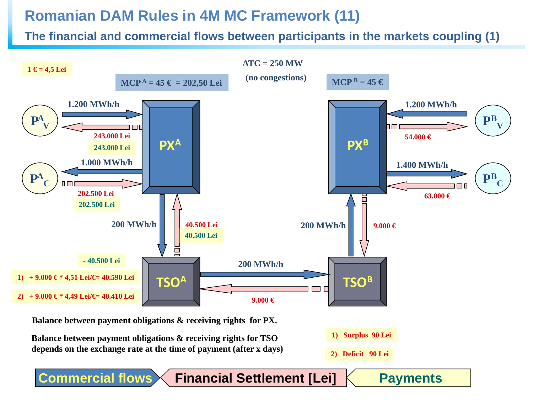### **Romanian DAM Rules in 4M MC Framework (11)**

**The financial and commercial flows between participants in the markets coupling (1)**



**Financial Settlement [Lei]**

**Payments**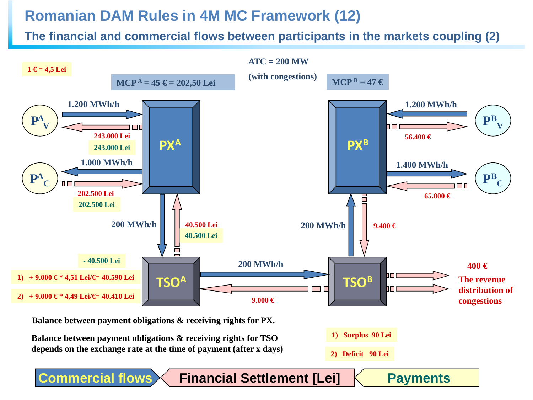### **Romanian DAM Rules in 4M MC Framework (12)**

**The financial and commercial flows between participants in the markets coupling (2)**



**Balance between payment obligations & receiving rights for TSO depends on the exchange rate at the time of payment (after x days)**

**Commercial flows**

**2) Deficit 90 Lei**

**Payments**

**Financial Settlement [Lei]**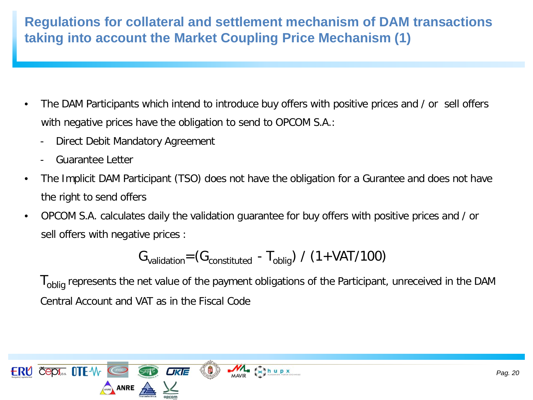### **Regulations for collateral and settlement mechanism of DAM transactions taking into account the Market Coupling Price Mechanism (1)**

- The DAM Participants which intend to introduce buy offers with positive prices and / or sell offers with negative prices have the obligation to send to OPCOM S.A.:
	- Direct Debit Mandatory Agreement
	- Guarantee Letter
- The Implicit DAM Participant (TSO) does not have the obligation for a Gurantee and does not have the right to send offers
- OPCOM S.A. calculates daily the validation guarantee for buy offers with positive prices and / or sell offers with negative prices :

$$
G_{validation} = (G_{constituted} - T_{oblig}) / (1 + VAT/100)
$$

I<sub>oblig</sub> represents the net value of the payment obligations of the Participant, unreceived in the DAM Central Account and VAT as in the Fiscal Code

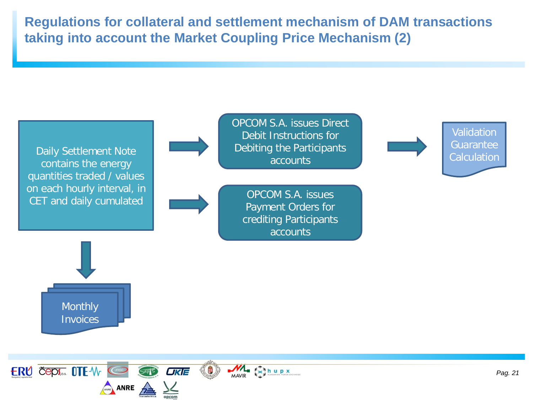**Regulations for collateral and settlement mechanism of DAM transactions taking into account the Market Coupling Price Mechanism (2)**

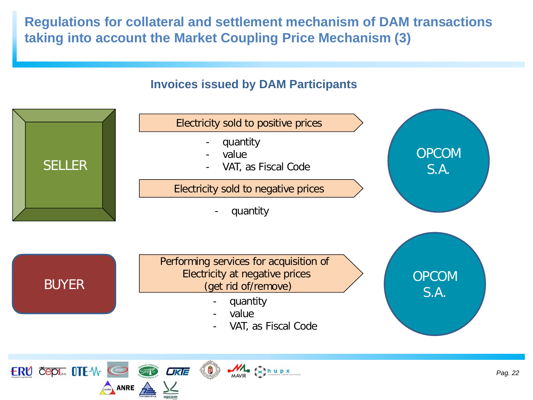**Regulations for collateral and settlement mechanism of DAM transactions taking into account the Market Coupling Price Mechanism (3)**

#### **Invoices issued by DAM Participants**



ANRE A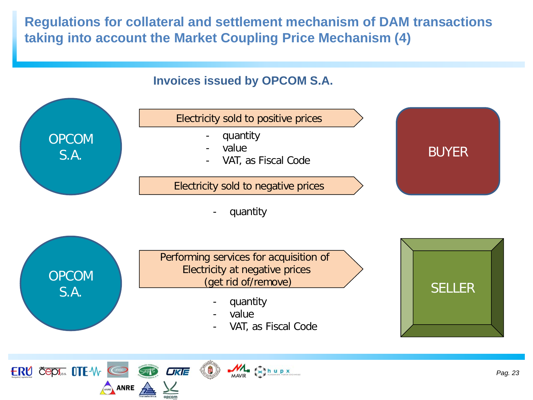**Regulations for collateral and settlement mechanism of DAM transactions taking into account the Market Coupling Price Mechanism (4)**

### **Invoices issued by OPCOM S.A.**

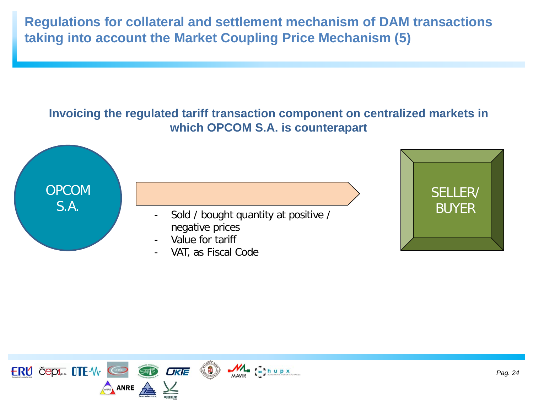**Regulations for collateral and settlement mechanism of DAM transactions taking into account the Market Coupling Price Mechanism (5)**





- S.A. Sold / bought quantity at positive / negative prices
	- Value for tariff
	- VAT, as Fiscal Code